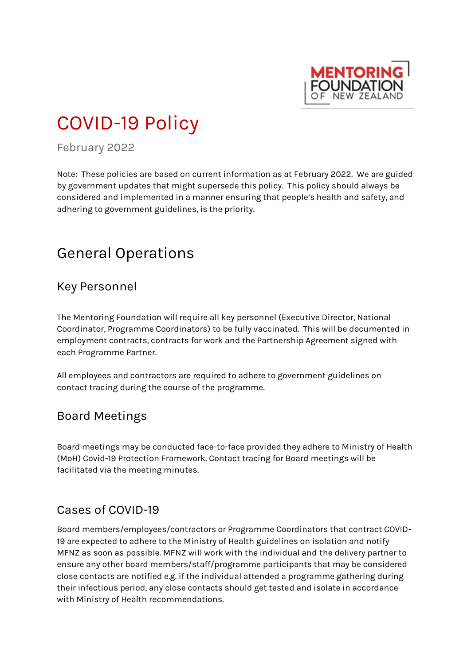

# COVID-19 Policy

February 2022

Note: These policies are based on current information as at February 2022. We are guided by government updates that might supersede this policy. This policy should always be considered and implemented in a manner ensuring that people's health and safety, and adhering to government guidelines, is the priority.

# General Operations

#### Key Personnel

The Mentoring Foundation will require all key personnel (Executive Director, National Coordinator, Programme Coordinators) to be fully vaccinated. This will be documented in employment contracts, contracts for work and the Partnership Agreement signed with each Programme Partner.

All employees and contractors are required to adhere to government guidelines on contact tracing during the course of the programme.

## Board Meetings

Board meetings may be conducted face-to-face provided they adhere to Ministry of Health (MoH) Covid-19 Protection Framework. Contact tracing for Board meetings will be facilitated via the meeting minutes.

## Cases of COVID-19

Board members/employees/contractors or Programme Coordinators that contract COVID-19 are expected to adhere to the Ministry of Health guidelines on isolation and notify MFNZ as soon as possible. MFNZ will work with the individual and the delivery partner to ensure any other board members/staff/programme participants that may be considered close contacts are notified e.g. if the individual attended a programme gathering during their infectious period, any close contacts should get tested and isolate in accordance with Ministry of Health recommendations.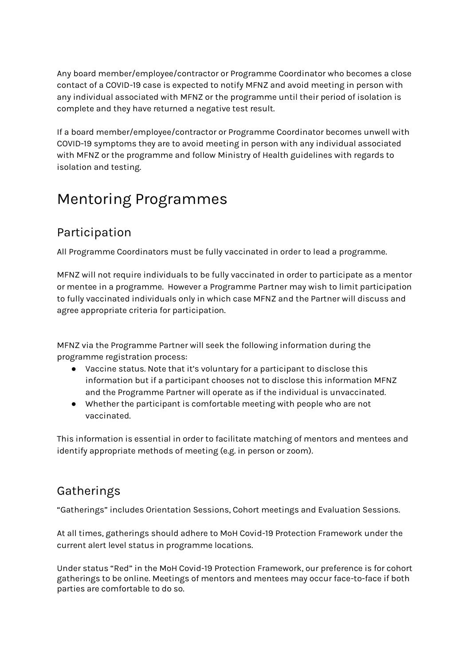Any board member/employee/contractor or Programme Coordinator who becomes a close contact of a COVID-19 case is expected to notify MFNZ and avoid meeting in person with any individual associated with MFNZ or the programme until their period of isolation is complete and they have returned a negative test result.

If a board member/employee/contractor or Programme Coordinator becomes unwell with COVID-19 symptoms they are to avoid meeting in person with any individual associated with MFNZ or the programme and follow Ministry of Health guidelines with regards to isolation and testing.

# Mentoring Programmes

#### Participation

All Programme Coordinators must be fully vaccinated in order to lead a programme.

MFNZ will not require individuals to be fully vaccinated in order to participate as a mentor or mentee in a programme. However a Programme Partner may wish to limit participation to fully vaccinated individuals only in which case MFNZ and the Partner will discuss and agree appropriate criteria for participation.

MFNZ via the Programme Partner will seek the following information during the programme registration process:

- Vaccine status. Note that it's voluntary for a participant to disclose this information but if a participant chooses not to disclose this information MFNZ and the Programme Partner will operate as if the individual is unvaccinated.
- Whether the participant is comfortable meeting with people who are not vaccinated.

This information is essential in order to facilitate matching of mentors and mentees and identify appropriate methods of meeting (e.g. in person or zoom).

## Gatherings

"Gatherings" includes Orientation Sessions, Cohort meetings and Evaluation Sessions.

At all times, gatherings should adhere to MoH Covid-19 Protection Framework under the current alert level status in programme locations.

Under status "Red" in the MoH Covid-19 Protection Framework, our preference is for cohort gatherings to be online. Meetings of mentors and mentees may occur face-to-face if both parties are comfortable to do so.